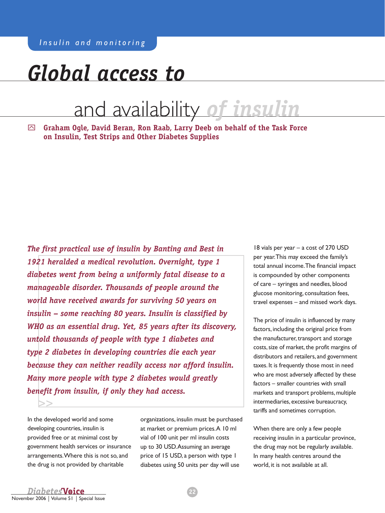# *Global access to*

# and availability *of insulin*

y **Graham Ogle, David Beran, Ron Raab, Larry Deeb on behalf of the Task Force on Insulin, Test Strips and Other Diabetes Supplies**

*The first practical use of insulin by Banting and Best in 1921 heralded a medical revolution. Overnight, type 1 diabetes went from being a uniformly fatal disease to a manageable disorder. Thousands of people around the world have received awards for surviving 50 years on insulin – some reaching 80 years. Insulin is classified by WHO as an essential drug. Yet, 85 years after its discovery, untold thousands of people with type 1 diabetes and type 2 diabetes in developing countries die each year because they can neither readily access nor afford insulin. Many more people with type 2 diabetes would greatly benefit from insulin, if only they had access.*

In the developed world and some developing countries, insulin is provided free or at minimal cost by government health services or insurance arrangements. Where this is not so, and the drug is not provided by charitable

organizations, insulin must be purchased at market or premium prices. A 10 ml vial of 100 unit per ml insulin costs up to 30 USD. Assuming an average price of 15 USD, a person with type 1 diabetes using 50 units per day will use

18 vials per year – a cost of 270 USD per year. This may exceed the family's total annual income. The financial impact is compounded by other components of care – syringes and needles, blood glucose monitoring, consultation fees, travel expenses – and missed work days.

The price of insulin is influenced by many factors, including the original price from the manufacturer, transport and storage costs, size of market, the profit margins of distributors and retailers, and government taxes. It is frequently those most in need who are most adversely affected by these factors – smaller countries with small markets and transport problems, multiple intermediaries, excessive bureaucracy, tariffs and sometimes corruption.

When there are only a few people receiving insulin in a particular province, the drug may not be regularly available. In many health centres around the world, it is not available at all.

>>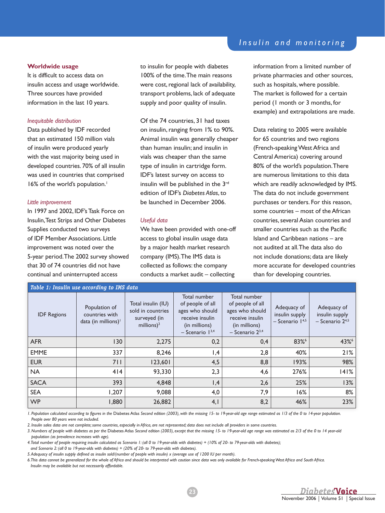#### **worldwide usage**

It is difficult to access data on insulin access and usage worldwide. Three sources have provided information in the last 10 years.

#### *Inequitable distribution*

Data published by IDF recorded that an estimated 150 million vials of insulin were produced yearly with the vast majority being used in developed countries. 70% of all insulin was used in countries that comprised 16% of the world's population.<sup>1</sup>

#### *Little improvement*

In 1997 and 2002, IDF's Task Force on Insulin, Test Strips and Other Diabetes Supplies conducted two surveys of IDF Member Associations. Little improvement was noted over the 5-year period. The 2002 survey showed that 30 of 74 countries did not have continual and uninterrupted access

to insulin for people with diabetes 100% of the time. The main reasons were cost, regional lack of availability, transport problems, lack of adequate supply and poor quality of insulin.

Of the 74 countries, 31 had taxes on insulin, ranging from 1% to 90%. Animal insulin was generally cheaper than human insulin; and insulin in vials was cheaper than the same type of insulin in cartridge form. IDF's latest survey on access to insulin will be published in the 3rd edition of IDF's *Diabetes Atlas*, to be launched in December 2006.

#### *Useful data*

We have been provided with one-off access to global insulin usage data by a major health market research company (IMS). The IMS data is collected as follows: the company conducts a market audit – collecting

### *Insulin and monitoring*

information from a limited number of private pharmacies and other sources, such as hospitals, where possible. The market is followed for a certain period (1 month or 3 months, for example) and extrapolations are made.

Data relating to 2005 were available for 65 countries and two regions (French-speaking West Africa and Central America) covering around 80% of the world's population. There are numerous limitations to this data which are readily acknowledged by IMS. The data do not include government purchases or tenders. For this reason, some countries – most of the African countries, several Asian countries and smaller countries such as the Pacific Island and Caribbean nations – are not audited at all. The data also do not include donations; data are likely more accurate for developed countries than for developing countries.

| Table 1: Insulin use according to IMS data |                                                               |                                                                          |                                                                                                                 |                                                                                                                   |                                                         |                                                         |
|--------------------------------------------|---------------------------------------------------------------|--------------------------------------------------------------------------|-----------------------------------------------------------------------------------------------------------------|-------------------------------------------------------------------------------------------------------------------|---------------------------------------------------------|---------------------------------------------------------|
| <b>IDF</b> Regions                         | Population of<br>countries with<br>data (in millions) $\vert$ | Total insulin (IU)<br>sold in countries<br>surveyed (in<br>millions) $2$ | Total number<br>of people of all<br>ages who should<br>receive insulin<br>(in millions)<br>- Scenario $1^{3,4}$ | Total number<br>of people of all<br>ages who should<br>receive insulin<br>(in millions)<br>$-$ Scenario $2^{3,4}$ | Adequacy of<br>insulin supply<br>$-$ Scenario $1^{4,5}$ | Adequacy of<br>insulin supply<br>$-$ Scenario $2^{4,5}$ |
| <b>AFR</b>                                 | 130                                                           | 2,275                                                                    | 0,2                                                                                                             | 0,4                                                                                                               | 83%                                                     | 43%                                                     |
| <b>EMME</b>                                | 337                                                           | 8,246                                                                    | 1,4                                                                                                             | 2,8                                                                                                               | 40%                                                     | 21%                                                     |
| <b>EUR</b>                                 | 711                                                           | 123,601                                                                  | 4,5                                                                                                             | 8,8                                                                                                               | 193%                                                    | 98%                                                     |
| <b>NA</b>                                  | 414                                                           | 93,330                                                                   | 2,3                                                                                                             | 4,6                                                                                                               | 276%                                                    | 141%                                                    |
| <b>SACA</b>                                | 393                                                           | 4,848                                                                    | 1,4                                                                                                             | 2,6                                                                                                               | 25%                                                     | 13%                                                     |
| <b>SEA</b>                                 | 1,207                                                         | 9,088                                                                    | 4,0                                                                                                             | 7,9                                                                                                               | 16%                                                     | 8%                                                      |
| <b>WP</b>                                  | 1,880                                                         | 26,882                                                                   | 4,1                                                                                                             | 8,2                                                                                                               | 46%                                                     | 23%                                                     |

*1. Population calculated according to figures in the* Diabetes Atlas *Second edition (2003), with the missing 15- to 19-year-old age range estimated as 1/3 of the 0 to 14-year population. People over 80 years were not included.*

*2. Insulin sales data are not complete; some countries, especially in Africa, are not represented; data does not include all providers in some countries.*

*3. Numbers of people with diabetes as per the* Diabetes Atlas *Second edition (2003), except that the missing 15- to 19-year-old age range was estimated as 2/3 of the 0 to 14 year-old population (as prevalence increases with age).*

*4. Total number of people requiring insulin calculated as Scenario 1: (all 0 to 19-year-olds with diabetes) + (10% of 20- to 79-year-olds with diabetes);* 

*and Scenario 2: (all 0 to 19-year-olds with diabetes) + (20% of 20- to 79-year-olds with diabetes).*

*5. Adequacy of insulin supply defined as insulin sold/(number of people with insulin) x (average use of 1200 IU per month).*

*6. This data cannot be generalized for the whole of Africa and should be interpreted with caution since data was only available for French-speaking West Africa and South Africa. Insulin may be available but not necessarily affordable.*

23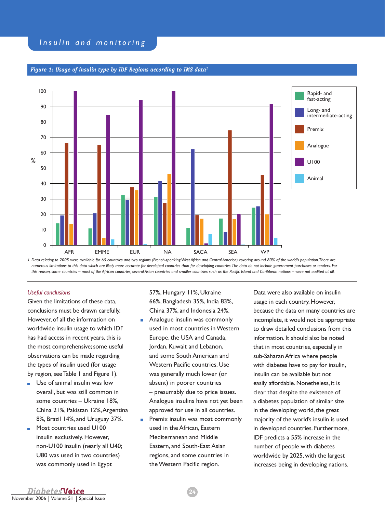

### *Figure 1: Usage of insulin type by IDF Regions according to IMS data1*

*1. Data relating to 2005 were available for 65 countries and two regions (French-speaking West Africa and Central America) covering around 80% of the world's population. There are numerous limitations to this data which are likely more accurate for developed countries than for developing countries. The data do not include government purchases or tenders. For this reason, some countries – most of the African countries, several Asian countries and smaller countries such as the Pacific Island and Caribbean nations – were not audited at all.*

#### *Useful conclusions*

Given the limitations of these data, conclusions must be drawn carefully. However, of all the information on worldwide insulin usage to which IDF has had access in recent years, this is the most comprehensive; some useful observations can be made regarding the types of insulin used (for usage by region, see Table 1 and Figure 1).

- **Use of animal insulin was low** overall, but was still common in some countries – Ukraine 18%, China 21%, Pakistan 12%, Argentina 8%, Brazil 14%, and Uruguay 37%.
- **Most countries used U100** insulin exclusively. However, non-U100 insulin (nearly all U40; U80 was used in two countries) was commonly used in Egypt

57%, Hungary 11%, Ukraine 66%, Bangladesh 35%, India 83%, China 37%, and Indonesia 24%.

- **Analogue insulin was commonly** used in most countries in Western Europe, the USA and Canada, Jordan, Kuwait and Lebanon, and some South American and Western Pacific countries. Use was generally much lower (or absent) in poorer countries – presumably due to price issues. Analogue insulins have not yet been approved for use in all countries.
- Premix insulin was most commonly used in the African, Eastern Mediterranean and Middle Eastern, and South-East Asian regions, and some countries in the Western Pacific region.

Data were also available on insulin usage in each country. However, because the data on many countries are incomplete, it would not be appropriate to draw detailed conclusions from this information. It should also be noted that in most countries, especially in sub-Saharan Africa where people with diabetes have to pay for insulin, insulin can be available but not easily affordable. Nonetheless, it is clear that despite the existence of a diabetes population of similar size in the developing world, the great majority of the world's insulin is used in developed countries. Furthermore, IDF predicts a 55% increase in the number of people with diabetes worldwide by 2025, with the largest increases being in developing nations.